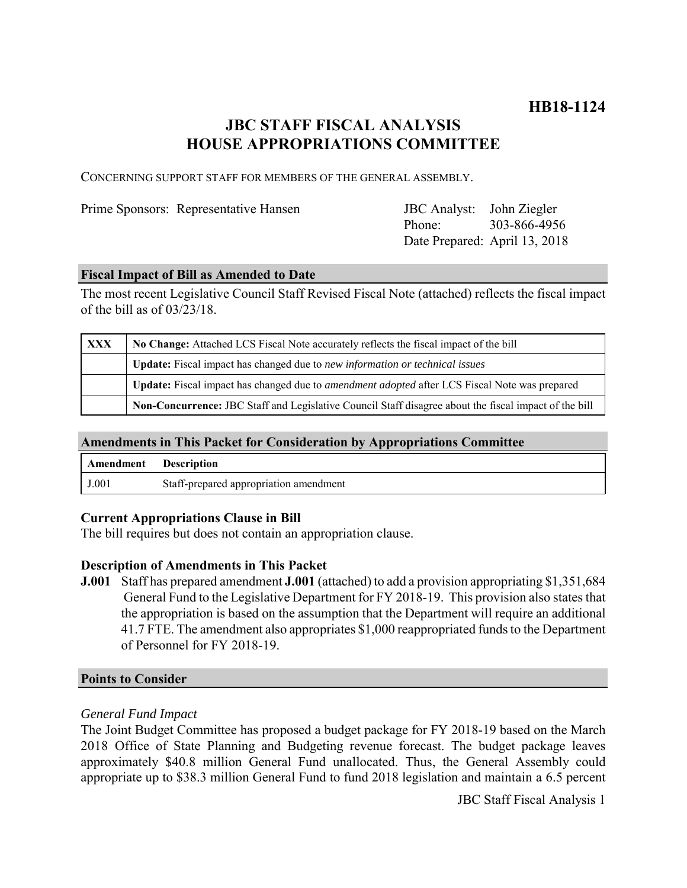## **JBC STAFF FISCAL ANALYSIS HOUSE APPROPRIATIONS COMMITTEE**

CONCERNING SUPPORT STAFF FOR MEMBERS OF THE GENERAL ASSEMBLY.

Prime Sponsors: Representative Hansen

Phone: Date Prepared: April 13, 2018 JBC Analyst: John Ziegler 303-866-4956

#### **Fiscal Impact of Bill as Amended to Date**

The most recent Legislative Council Staff Revised Fiscal Note (attached) reflects the fiscal impact of the bill as of 03/23/18.

| XXX | No Change: Attached LCS Fiscal Note accurately reflects the fiscal impact of the bill                 |
|-----|-------------------------------------------------------------------------------------------------------|
|     | Update: Fiscal impact has changed due to new information or technical issues                          |
|     | Update: Fiscal impact has changed due to <i>amendment adopted</i> after LCS Fiscal Note was prepared  |
|     | Non-Concurrence: JBC Staff and Legislative Council Staff disagree about the fiscal impact of the bill |

### **Amendments in This Packet for Consideration by Appropriations Committee**

| Amendment | <b>Description</b>                     |
|-----------|----------------------------------------|
| J.001     | Staff-prepared appropriation amendment |

#### **Current Appropriations Clause in Bill**

The bill requires but does not contain an appropriation clause.

#### **Description of Amendments in This Packet**

**J.001** Staff has prepared amendment **J.001** (attached) to add a provision appropriating \$1,351,684 General Fund to the Legislative Department for FY 2018-19. This provision also states that the appropriation is based on the assumption that the Department will require an additional 41.7 FTE. The amendment also appropriates \$1,000 reappropriated funds to the Department of Personnel for FY 2018-19.

#### **Points to Consider**

#### *General Fund Impact*

The Joint Budget Committee has proposed a budget package for FY 2018-19 based on the March 2018 Office of State Planning and Budgeting revenue forecast. The budget package leaves approximately \$40.8 million General Fund unallocated. Thus, the General Assembly could appropriate up to \$38.3 million General Fund to fund 2018 legislation and maintain a 6.5 percent